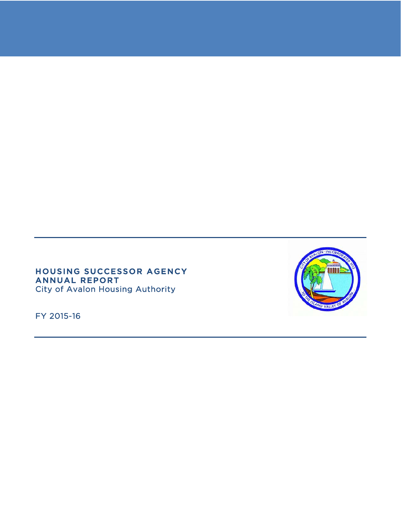### HOUSING SUCCESSOR AGENCY ANNUAL REPORT City of Avalon Housing Authority

FY 2015-16

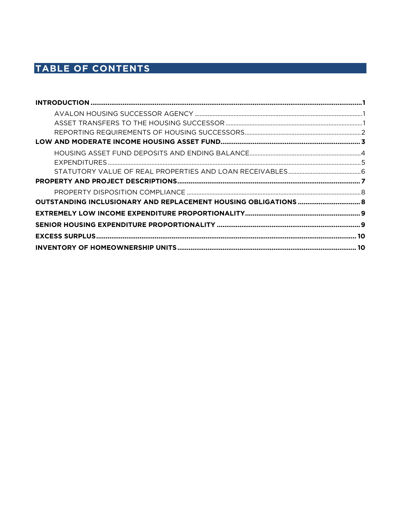# TABLE OF CONTENTS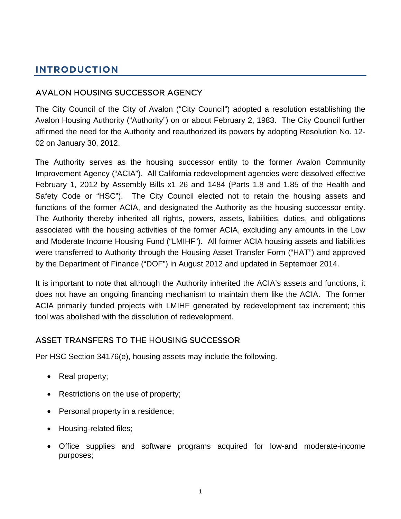# **INTRODUCTION**

# AVALON HOUSING SUCCESSOR AGENCY

The City Council of the City of Avalon ("City Council") adopted a resolution establishing the Avalon Housing Authority ("Authority") on or about February 2, 1983. The City Council further affirmed the need for the Authority and reauthorized its powers by adopting Resolution No. 12- 02 on January 30, 2012.

The Authority serves as the housing successor entity to the former Avalon Community Improvement Agency ("ACIA"). All California redevelopment agencies were dissolved effective February 1, 2012 by Assembly Bills x1 26 and 1484 (Parts 1.8 and 1.85 of the Health and Safety Code or "HSC"). The City Council elected not to retain the housing assets and functions of the former ACIA, and designated the Authority as the housing successor entity. The Authority thereby inherited all rights, powers, assets, liabilities, duties, and obligations associated with the housing activities of the former ACIA, excluding any amounts in the Low and Moderate Income Housing Fund ("LMIHF"). All former ACIA housing assets and liabilities were transferred to Authority through the Housing Asset Transfer Form ("HAT") and approved by the Department of Finance ("DOF") in August 2012 and updated in September 2014.

It is important to note that although the Authority inherited the ACIA's assets and functions, it does not have an ongoing financing mechanism to maintain them like the ACIA. The former ACIA primarily funded projects with LMIHF generated by redevelopment tax increment; this tool was abolished with the dissolution of redevelopment.

# ASSET TRANSFERS TO THE HOUSING SUCCESSOR

Per HSC Section 34176(e), housing assets may include the following.

- Real property;
- Restrictions on the use of property;
- Personal property in a residence;
- Housing-related files;
- Office supplies and software programs acquired for low-and moderate-income purposes;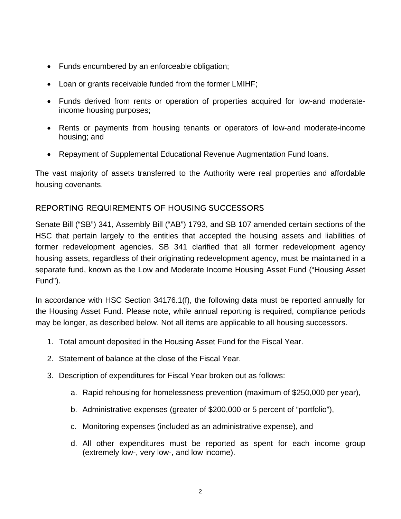- Funds encumbered by an enforceable obligation;
- Loan or grants receivable funded from the former LMIHF;
- Funds derived from rents or operation of properties acquired for low-and moderateincome housing purposes;
- Rents or payments from housing tenants or operators of low-and moderate-income housing; and
- Repayment of Supplemental Educational Revenue Augmentation Fund loans.

The vast majority of assets transferred to the Authority were real properties and affordable housing covenants.

# REPORTING REQUIREMENTS OF HOUSING SUCCESSORS

Senate Bill ("SB") 341, Assembly Bill ("AB") 1793, and SB 107 amended certain sections of the HSC that pertain largely to the entities that accepted the housing assets and liabilities of former redevelopment agencies. SB 341 clarified that all former redevelopment agency housing assets, regardless of their originating redevelopment agency, must be maintained in a separate fund, known as the Low and Moderate Income Housing Asset Fund ("Housing Asset Fund").

In accordance with HSC Section 34176.1(f), the following data must be reported annually for the Housing Asset Fund. Please note, while annual reporting is required, compliance periods may be longer, as described below. Not all items are applicable to all housing successors.

- 1. Total amount deposited in the Housing Asset Fund for the Fiscal Year.
- 2. Statement of balance at the close of the Fiscal Year.
- 3. Description of expenditures for Fiscal Year broken out as follows:
	- a. Rapid rehousing for homelessness prevention (maximum of \$250,000 per year),
	- b. Administrative expenses (greater of \$200,000 or 5 percent of "portfolio"),
	- c. Monitoring expenses (included as an administrative expense), and
	- d. All other expenditures must be reported as spent for each income group (extremely low-, very low-, and low income).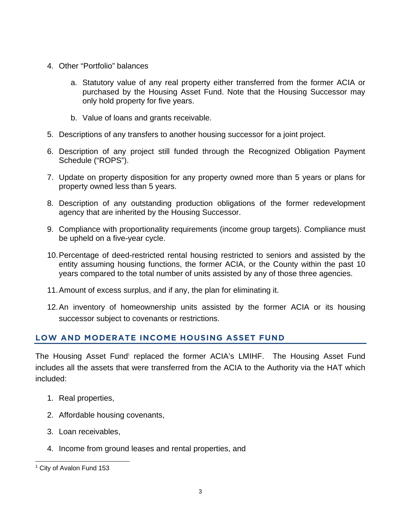- 4. Other "Portfolio" balances
	- a. Statutory value of any real property either transferred from the former ACIA or purchased by the Housing Asset Fund. Note that the Housing Successor may only hold property for five years.
	- b. Value of loans and grants receivable.
- 5. Descriptions of any transfers to another housing successor for a joint project.
- 6. Description of any project still funded through the Recognized Obligation Payment Schedule ("ROPS").
- 7. Update on property disposition for any property owned more than 5 years or plans for property owned less than 5 years.
- 8. Description of any outstanding production obligations of the former redevelopment agency that are inherited by the Housing Successor.
- 9. Compliance with proportionality requirements (income group targets). Compliance must be upheld on a five-year cycle.
- 10. Percentage of deed-restricted rental housing restricted to seniors and assisted by the entity assuming housing functions, the former ACIA, or the County within the past 10 years compared to the total number of units assisted by any of those three agencies.
- 11. Amount of excess surplus, and if any, the plan for eliminating it.
- 12. An inventory of homeownership units assisted by the former ACIA or its housing successor subject to covenants or restrictions.

# **LOW AND MODERATE INCOME HOUSING ASSET FUND**

The Housing Asset Fund<sup>1</sup> replaced the former ACIA's LMIHF. The Housing Asset Fund includes all the assets that were transferred from the ACIA to the Authority via the HAT which included:

- 1. Real properties,
- 2. Affordable housing covenants,
- 3. Loan receivables,
- 4. Income from ground leases and rental properties, and

l <sup>1</sup> City of Avalon Fund 153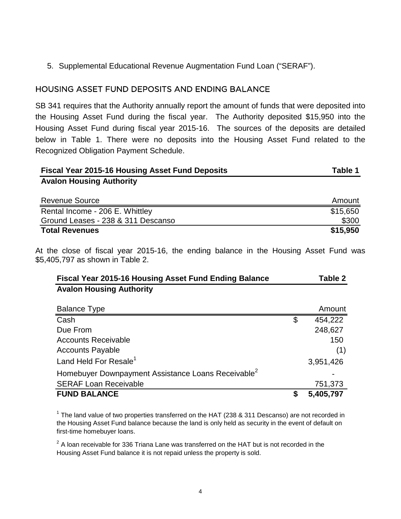5. Supplemental Educational Revenue Augmentation Fund Loan ("SERAF").

# HOUSING ASSET FUND DEPOSITS AND ENDING BALANCE

SB 341 requires that the Authority annually report the amount of funds that were deposited into the Housing Asset Fund during the fiscal year. The Authority deposited \$15,950 into the Housing Asset Fund during fiscal year 2015-16. The sources of the deposits are detailed below in Table 1. There were no deposits into the Housing Asset Fund related to the Recognized Obligation Payment Schedule.

| <b>Fiscal Year 2015-16 Housing Asset Fund Deposits</b> | Table 1  |
|--------------------------------------------------------|----------|
| <b>Avalon Housing Authority</b>                        |          |
| <b>Revenue Source</b>                                  | Amount   |
| ___                                                    | $ - - -$ |

| Rental Income - 206 E. Whittley    | \$15,650 |
|------------------------------------|----------|
| Ground Leases - 238 & 311 Descanso | \$300    |
| <b>Total Revenues</b>              | \$15,950 |

At the close of fiscal year 2015-16, the ending balance in the Housing Asset Fund was \$5,405,797 as shown in Table 2.

| <b>Fiscal Year 2015-16 Housing Asset Fund Ending Balance</b>   |   | Table 2   |
|----------------------------------------------------------------|---|-----------|
| <b>Avalon Housing Authority</b>                                |   |           |
|                                                                |   |           |
| <b>Balance Type</b>                                            |   | Amount    |
| Cash                                                           | S | 454,222   |
| Due From                                                       |   | 248,627   |
| <b>Accounts Receivable</b>                                     |   | 150       |
| <b>Accounts Payable</b>                                        |   | (1)       |
| Land Held For Resale <sup>1</sup>                              |   | 3,951,426 |
| Homebuyer Downpayment Assistance Loans Receivable <sup>2</sup> |   |           |
| <b>SERAF Loan Receivable</b>                                   |   | 751,373   |
| <b>FUND BALANCE</b>                                            |   | 5,405,797 |

 $1$  The land value of two properties transferred on the HAT (238 & 311 Descanso) are not recorded in the Housing Asset Fund balance because the land is only held as security in the event of default on first-time homebuyer loans.

 $2$  A loan receivable for 336 Triana Lane was transferred on the HAT but is not recorded in the Housing Asset Fund balance it is not repaid unless the property is sold.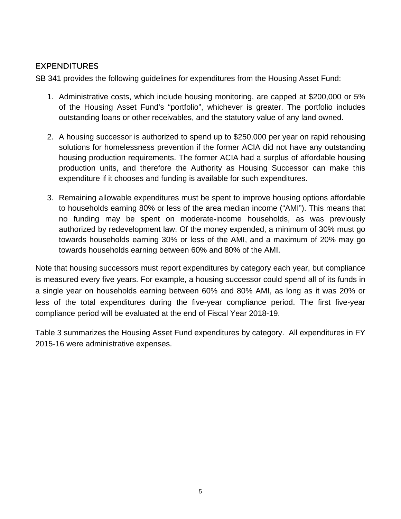# **EXPENDITURES**

SB 341 provides the following guidelines for expenditures from the Housing Asset Fund:

- 1. Administrative costs, which include housing monitoring, are capped at \$200,000 or 5% of the Housing Asset Fund's "portfolio", whichever is greater. The portfolio includes outstanding loans or other receivables, and the statutory value of any land owned.
- 2. A housing successor is authorized to spend up to \$250,000 per year on rapid rehousing solutions for homelessness prevention if the former ACIA did not have any outstanding housing production requirements. The former ACIA had a surplus of affordable housing production units, and therefore the Authority as Housing Successor can make this expenditure if it chooses and funding is available for such expenditures.
- 3. Remaining allowable expenditures must be spent to improve housing options affordable to households earning 80% or less of the area median income ("AMI"). This means that no funding may be spent on moderate-income households, as was previously authorized by redevelopment law. Of the money expended, a minimum of 30% must go towards households earning 30% or less of the AMI, and a maximum of 20% may go towards households earning between 60% and 80% of the AMI.

Note that housing successors must report expenditures by category each year, but compliance is measured every five years. For example, a housing successor could spend all of its funds in a single year on households earning between 60% and 80% AMI, as long as it was 20% or less of the total expenditures during the five-year compliance period. The first five-year compliance period will be evaluated at the end of Fiscal Year 2018-19.

Table 3 summarizes the Housing Asset Fund expenditures by category. All expenditures in FY 2015-16 were administrative expenses.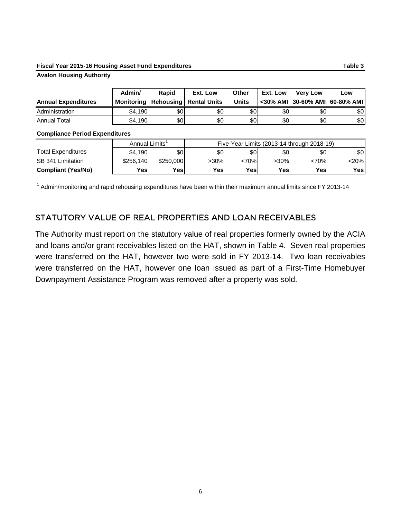#### **Fiscal Year 2015-16 Housing Asset Fund Expenditures Table 3**

#### **Avalon Housing Authority**

|                            | Admin/     | <b>Rapid</b> | Ext. Low                        | Other        | Ext. Low | <b>Very Low</b>     | Low        |
|----------------------------|------------|--------------|---------------------------------|--------------|----------|---------------------|------------|
| <b>Annual Expenditures</b> | Monitoring |              | <b>Rehousing   Rental Units</b> | <b>Units</b> |          | <30% AMI 30-60% AMI | 60-80% AMI |
| Administration             | \$4.190    | \$0          | \$0                             | \$0          | \$0      | \$0                 | \$0        |
| <b>Annual Total</b>        | \$4,190    | \$0          | \$0                             | \$OI         | \$0      | \$0                 | \$0        |

#### **Compliance Period Expenditures**

|                           | Annual Limits' |           | Five-Year Limits (2013-14 through 2018-19) |      |         |            |      |
|---------------------------|----------------|-----------|--------------------------------------------|------|---------|------------|------|
| <b>Total Expenditures</b> | \$4.190        | \$0       | \$0                                        | \$OI | \$0     | \$0        | \$0  |
| SB 341 Limitation         | \$256,140      | \$250,000 | $>30\%$                                    | <70% | $>30\%$ | <70%       | <20% |
| <b>Compliant (Yes/No)</b> | Yes            | Yesi      | Yes                                        | Yes. | Yes     | <b>Yes</b> | Yes  |

<sup>1</sup> Admin/monitoring and rapid rehousing expenditures have been within their maximum annual limits since FY 2013-14

### STATUTORY VALUE OF REAL PROPERTIES AND LOAN RECEIVABLES

The Authority must report on the statutory value of real properties formerly owned by the ACIA and loans and/or grant receivables listed on the HAT, shown in Table 4. Seven real properties were transferred on the HAT, however two were sold in FY 2013-14. Two loan receivables were transferred on the HAT, however one loan issued as part of a First-Time Homebuyer Downpayment Assistance Program was removed after a property was sold.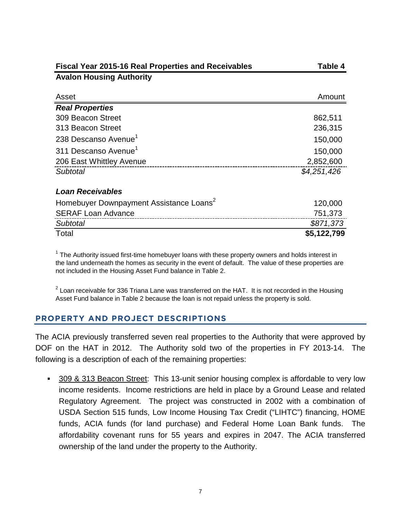| <b>Fiscal Year 2015-16 Real Properties and Receivables</b> | Table 4     |
|------------------------------------------------------------|-------------|
| <b>Avalon Housing Authority</b>                            |             |
| Asset                                                      | Amount      |
| <b>Real Properties</b>                                     |             |
| 309 Beacon Street                                          | 862,511     |
| 313 Beacon Street                                          | 236,315     |
| 238 Descanso Avenue <sup>1</sup>                           | 150,000     |
| 311 Descanso Avenue <sup>1</sup>                           | 150,000     |
| 206 East Whittley Avenue                                   | 2,852,600   |
| Subtotal                                                   | \$4,251,426 |
| <b>Loan Receivables</b>                                    |             |
| Homebuyer Downpayment Assistance Loans <sup>2</sup>        | 120,000     |
| <b>SERAF Loan Advance</b>                                  | 751,373     |
| <b>Subtotal</b>                                            | \$871,373   |
| Total                                                      | \$5,122,799 |

 $1$  The Authority issued first-time homebuyer loans with these property owners and holds interest in the land underneath the homes as security in the event of default. The value of these properties are not included in the Housing Asset Fund balance in Table 2.

 $2$  Loan receivable for 336 Triana Lane was transferred on the HAT. It is not recorded in the Housing Asset Fund balance in Table 2 because the loan is not repaid unless the property is sold.

### **PROPERTY AND PROJECT DESCRIPTIONS**

The ACIA previously transferred seven real properties to the Authority that were approved by DOF on the HAT in 2012. The Authority sold two of the properties in FY 2013-14. The following is a description of each of the remaining properties:

 309 & 313 Beacon Street: This 13-unit senior housing complex is affordable to very low income residents. Income restrictions are held in place by a Ground Lease and related Regulatory Agreement. The project was constructed in 2002 with a combination of USDA Section 515 funds, Low Income Housing Tax Credit ("LIHTC") financing, HOME funds, ACIA funds (for land purchase) and Federal Home Loan Bank funds. The affordability covenant runs for 55 years and expires in 2047. The ACIA transferred ownership of the land under the property to the Authority.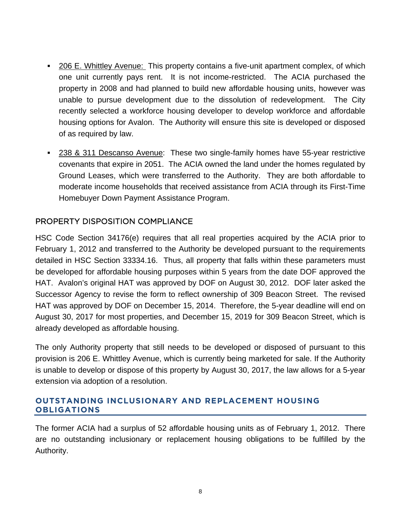- 206 E. Whittley Avenue: This property contains a five-unit apartment complex, of which one unit currently pays rent. It is not income-restricted. The ACIA purchased the property in 2008 and had planned to build new affordable housing units, however was unable to pursue development due to the dissolution of redevelopment. The City recently selected a workforce housing developer to develop workforce and affordable housing options for Avalon. The Authority will ensure this site is developed or disposed of as required by law.
- 238 & 311 Descanso Avenue: These two single-family homes have 55-year restrictive covenants that expire in 2051. The ACIA owned the land under the homes regulated by Ground Leases, which were transferred to the Authority. They are both affordable to moderate income households that received assistance from ACIA through its First-Time Homebuyer Down Payment Assistance Program.

## PROPERTY DISPOSITION COMPLIANCE

HSC Code Section 34176(e) requires that all real properties acquired by the ACIA prior to February 1, 2012 and transferred to the Authority be developed pursuant to the requirements detailed in HSC Section 33334.16. Thus, all property that falls within these parameters must be developed for affordable housing purposes within 5 years from the date DOF approved the HAT. Avalon's original HAT was approved by DOF on August 30, 2012. DOF later asked the Successor Agency to revise the form to reflect ownership of 309 Beacon Street. The revised HAT was approved by DOF on December 15, 2014. Therefore, the 5-year deadline will end on August 30, 2017 for most properties, and December 15, 2019 for 309 Beacon Street, which is already developed as affordable housing.

The only Authority property that still needs to be developed or disposed of pursuant to this provision is 206 E. Whittley Avenue, which is currently being marketed for sale. If the Authority is unable to develop or dispose of this property by August 30, 2017, the law allows for a 5-year extension via adoption of a resolution.

### **OUTSTANDING INCLUSIONARY AND REPLACEMENT HOUSING OBLIGATIONS**

The former ACIA had a surplus of 52 affordable housing units as of February 1, 2012. There are no outstanding inclusionary or replacement housing obligations to be fulfilled by the Authority.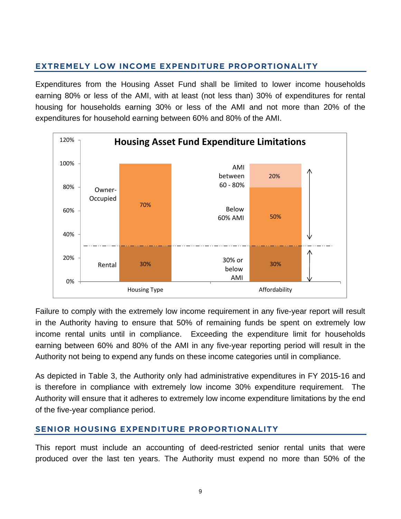# **EXTREMELY LOW INCOME EXPENDITURE PROPORTIONALITY**

Expenditures from the Housing Asset Fund shall be limited to lower income households earning 80% or less of the AMI, with at least (not less than) 30% of expenditures for rental housing for households earning 30% or less of the AMI and not more than 20% of the expenditures for household earning between 60% and 80% of the AMI.



Failure to comply with the extremely low income requirement in any five-year report will result in the Authority having to ensure that 50% of remaining funds be spent on extremely low income rental units until in compliance. Exceeding the expenditure limit for households earning between 60% and 80% of the AMI in any five-year reporting period will result in the Authority not being to expend any funds on these income categories until in compliance.

As depicted in Table 3, the Authority only had administrative expenditures in FY 2015-16 and is therefore in compliance with extremely low income 30% expenditure requirement. The Authority will ensure that it adheres to extremely low income expenditure limitations by the end of the five-year compliance period.

### **SENIOR HOUSING EXPENDITURE PROPORTIONALITY**

This report must include an accounting of deed-restricted senior rental units that were produced over the last ten years. The Authority must expend no more than 50% of the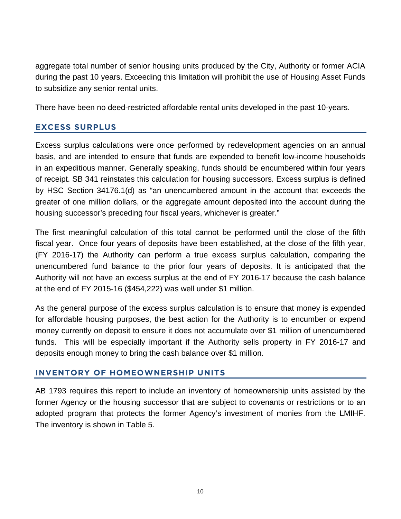aggregate total number of senior housing units produced by the City, Authority or former ACIA during the past 10 years. Exceeding this limitation will prohibit the use of Housing Asset Funds to subsidize any senior rental units.

There have been no deed-restricted affordable rental units developed in the past 10-years.

### **EXCESS SURPLUS**

Excess surplus calculations were once performed by redevelopment agencies on an annual basis, and are intended to ensure that funds are expended to benefit low-income households in an expeditious manner. Generally speaking, funds should be encumbered within four years of receipt. SB 341 reinstates this calculation for housing successors. Excess surplus is defined by HSC Section 34176.1(d) as "an unencumbered amount in the account that exceeds the greater of one million dollars, or the aggregate amount deposited into the account during the housing successor's preceding four fiscal years, whichever is greater."

The first meaningful calculation of this total cannot be performed until the close of the fifth fiscal year. Once four years of deposits have been established, at the close of the fifth year, (FY 2016-17) the Authority can perform a true excess surplus calculation, comparing the unencumbered fund balance to the prior four years of deposits. It is anticipated that the Authority will not have an excess surplus at the end of FY 2016-17 because the cash balance at the end of FY 2015-16 (\$454,222) was well under \$1 million.

As the general purpose of the excess surplus calculation is to ensure that money is expended for affordable housing purposes, the best action for the Authority is to encumber or expend money currently on deposit to ensure it does not accumulate over \$1 million of unencumbered funds. This will be especially important if the Authority sells property in FY 2016-17 and deposits enough money to bring the cash balance over \$1 million.

# **INVENTORY OF HOMEOWNERSHIP UNITS**

AB 1793 requires this report to include an inventory of homeownership units assisted by the former Agency or the housing successor that are subject to covenants or restrictions or to an adopted program that protects the former Agency's investment of monies from the LMIHF. The inventory is shown in Table 5.